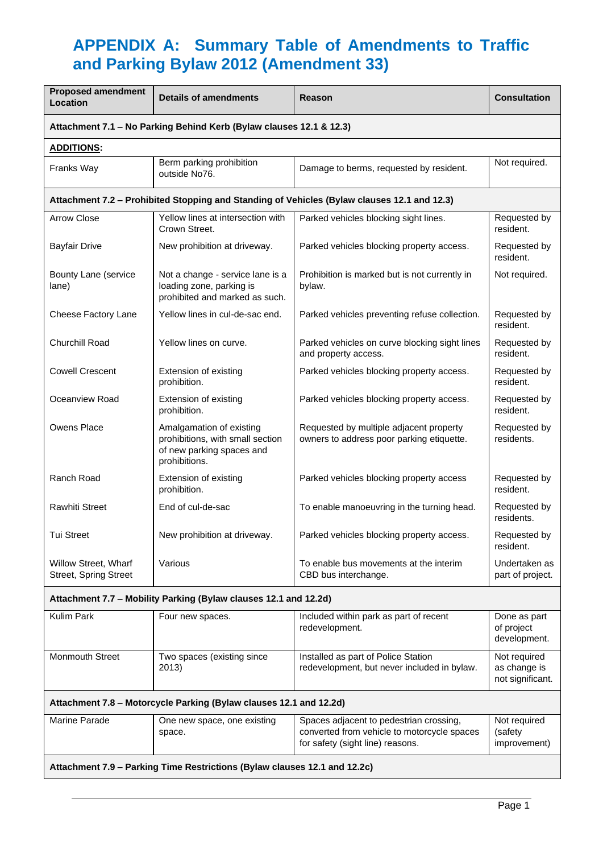## **APPENDIX A: Summary Table of Amendments to Traffic and Parking Bylaw 2012 (Amendment 33)**

| <b>Proposed amendment</b><br>Location                                                       | <b>Details of amendments</b>                                                                               | Reason                                                                               | <b>Consultation</b>               |  |  |  |
|---------------------------------------------------------------------------------------------|------------------------------------------------------------------------------------------------------------|--------------------------------------------------------------------------------------|-----------------------------------|--|--|--|
| Attachment 7.1 - No Parking Behind Kerb (Bylaw clauses 12.1 & 12.3)                         |                                                                                                            |                                                                                      |                                   |  |  |  |
| <b>ADDITIONS:</b>                                                                           |                                                                                                            |                                                                                      |                                   |  |  |  |
| Franks Way                                                                                  | Berm parking prohibition<br>outside No76.                                                                  | Damage to berms, requested by resident.                                              | Not required.                     |  |  |  |
| Attachment 7.2 - Prohibited Stopping and Standing of Vehicles (Bylaw clauses 12.1 and 12.3) |                                                                                                            |                                                                                      |                                   |  |  |  |
| <b>Arrow Close</b>                                                                          | Yellow lines at intersection with<br>Crown Street.                                                         | Parked vehicles blocking sight lines.                                                | Requested by<br>resident.         |  |  |  |
| <b>Bayfair Drive</b>                                                                        | New prohibition at driveway.                                                                               | Parked vehicles blocking property access.                                            | Requested by<br>resident.         |  |  |  |
| Bounty Lane (service<br>lane)                                                               | Not a change - service lane is a<br>loading zone, parking is<br>prohibited and marked as such.             | Prohibition is marked but is not currently in<br>bylaw.                              | Not required.                     |  |  |  |
| Cheese Factory Lane                                                                         | Yellow lines in cul-de-sac end.                                                                            | Parked vehicles preventing refuse collection.                                        | Requested by<br>resident.         |  |  |  |
| Churchill Road                                                                              | Yellow lines on curve.                                                                                     | Parked vehicles on curve blocking sight lines<br>and property access.                | Requested by<br>resident.         |  |  |  |
| <b>Cowell Crescent</b>                                                                      | Extension of existing<br>prohibition.                                                                      | Parked vehicles blocking property access.                                            | Requested by<br>resident.         |  |  |  |
| Oceanview Road                                                                              | Extension of existing<br>prohibition.                                                                      | Parked vehicles blocking property access.                                            | Requested by<br>resident.         |  |  |  |
| <b>Owens Place</b>                                                                          | Amalgamation of existing<br>prohibitions, with small section<br>of new parking spaces and<br>prohibitions. | Requested by multiple adjacent property<br>owners to address poor parking etiquette. | Requested by<br>residents.        |  |  |  |
| Ranch Road                                                                                  | Extension of existing<br>prohibition.                                                                      | Parked vehicles blocking property access                                             | Requested by<br>resident.         |  |  |  |
| <b>Rawhiti Street</b>                                                                       | End of cul-de-sac                                                                                          | To enable manoeuvring in the turning head.                                           | Requested by<br>residents.        |  |  |  |
| <b>Tui Street</b>                                                                           | New prohibition at driveway.                                                                               | Parked vehicles blocking property access.                                            | Requested by<br>resident.         |  |  |  |
| Willow Street, Wharf<br><b>Street, Spring Street</b>                                        | Various                                                                                                    | To enable bus movements at the interim<br>CBD bus interchange.                       | Undertaken as<br>part of project. |  |  |  |
| Attachment 7.7 - Mobility Parking (Bylaw clauses 12.1 and 12.2d)                            |                                                                                                            |                                                                                      |                                   |  |  |  |
| Kulim Park                                                                                  | Four new spaces.                                                                                           | Included within park as part of recent                                               | Done as part                      |  |  |  |

| Kulim Park                                                                                                                                                                                                                        | Four new spaces.                      | Included within park as part of recent<br>redevelopment.                                                                   | Done as part<br>of project<br>development.       |  |  |
|-----------------------------------------------------------------------------------------------------------------------------------------------------------------------------------------------------------------------------------|---------------------------------------|----------------------------------------------------------------------------------------------------------------------------|--------------------------------------------------|--|--|
| <b>Monmouth Street</b>                                                                                                                                                                                                            | Two spaces (existing since<br>2013)   | Installed as part of Police Station<br>redevelopment, but never included in bylaw.                                         | Not required<br>as change is<br>not significant. |  |  |
| Attachment 7.8 – Motorcycle Parking (Bylaw clauses 12.1 and 12.2d)                                                                                                                                                                |                                       |                                                                                                                            |                                                  |  |  |
| Marine Parade                                                                                                                                                                                                                     | One new space, one existing<br>space. | Spaces adjacent to pedestrian crossing,<br>converted from vehicle to motorcycle spaces<br>for safety (sight line) reasons. | Not required<br>(safety)<br>improvement)         |  |  |
| $\mathbf{A}$ and the set of the set of the set of the set of the set of the set of the set of the set of the set of the set of the set of the set of the set of the set of the set of the set of the set of the set of the set of |                                       |                                                                                                                            |                                                  |  |  |

**Attachment 7.9 – Parking Time Restrictions (Bylaw clauses 12.1 and 12.2c)**